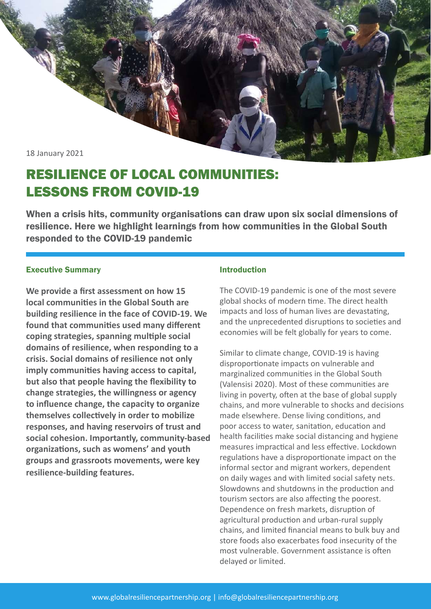18 January 2021

# RESILIENCE OF LOCAL COMMUNITIES: LESSONS FROM COVID-19

When a crisis hits, community organisations can draw upon six social dimensions of resilience. Here we highlight learnings from how communities in the Global South responded to the COVID-19 pandemic

## Executive Summary

**We provide a first assessment on how 15 local communities in the Global South are building resilience in the face of COVID-19. We found that communities used many different coping strategies, spanning multiple social domains of resilience, when responding to a crisis. Social domains of resilience not only imply communities having access to capital, but also that people having the flexibility to change strategies, the willingness or agency to influence change, the capacity to organize themselves collectively in order to mobilize responses, and having reservoirs of trust and social cohesion. Importantly, community-based organizations, such as womens' and youth groups and grassroots movements, were key resilience-building features.** 

### Introduction

The COVID-19 pandemic is one of the most severe global shocks of modern time. The direct health impacts and loss of human lives are devastating, and the unprecedented disruptions to societies and economies will be felt globally for years to come.

Similar to climate change, COVID-19 is having disproportionate impacts on vulnerable and marginalized communities in the Global South (Valensisi 2020). Most of these communities are living in poverty, often at the base of global supply chains, and more vulnerable to shocks and decisions made elsewhere. Dense living conditions, and poor access to water, sanitation, education and health facilities make social distancing and hygiene measures impractical and less effective. Lockdown regulations have a disproportionate impact on the informal sector and migrant workers, dependent on daily wages and with limited social safety nets. Slowdowns and shutdowns in the production and tourism sectors are also affecting the poorest. Dependence on fresh markets, disruption of agricultural production and urban-rural supply chains, and limited financial means to bulk buy and store foods also exacerbates food insecurity of the most vulnerable. Government assistance is often delayed or limited.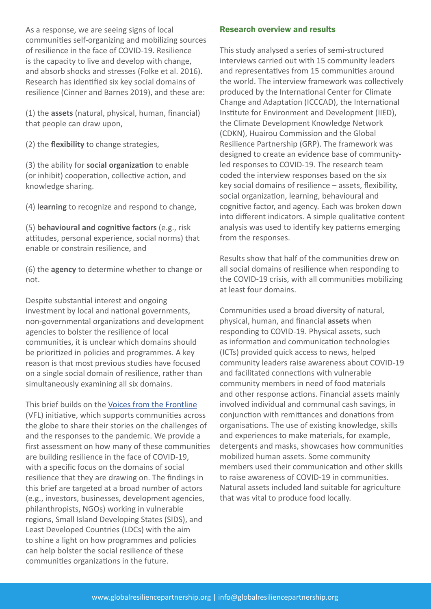As a response, we are seeing signs of local communities self-organizing and mobilizing sources of resilience in the face of COVID-19. Resilience is the capacity to live and develop with change, and absorb shocks and stresses (Folke et al. 2016). Research has identified six key social domains of resilience (Cinner and Barnes 2019), and these are:

(1) the **assets** (natural, physical, human, financial) that people can draw upon,

(2) the **flexibility** to change strategies,

(3) the ability for **social organization** to enable (or inhibit) cooperation, collective action, and knowledge sharing.

(4) **learning** to recognize and respond to change,

(5) **behavioural and cognitive factors** (e.g., risk attitudes, personal experience, social norms) that enable or constrain resilience, and

(6) the **agency** to determine whether to change or not.

Despite substantial interest and ongoing investment by local and national governments, non-governmental organizations and development agencies to bolster the resilience of local communities, it is unclear which domains should be prioritized in policies and programmes. A key reason is that most previous studies have focused on a single social domain of resilience, rather than simultaneously examining all six domains.

#### This brief builds on the Voices from the Frontline

(VFL) initiative, which supports communities across the globe to share their stories on the challenges of and the responses to the pandemic. We provide a first assessment on how many of these communities are building resilience in the face of COVID-19, with a specific focus on the domains of social resilience that they are drawing on. The findings in this brief are targeted at a broad number of actors (e.g., investors, businesses, development agencies, philanthropists, NGOs) working in vulnerable regions, Small Island Developing States (SIDS), and Least Developed Countries (LDCs) with the aim to shine a light on how programmes and policies can help bolster the social resilience of these communities organizations in the future.

# Research overview and results

This study analysed a series of semi-structured interviews carried out with 15 community leaders and representatives from 15 communities around the world. The interview framework was collectively produced by the International Center for Climate Change and Adaptation (ICCCAD), the International Institute for Environment and Development (IIED), the Climate Development Knowledge Network (CDKN), Huairou Commission and the Global Resilience Partnership (GRP). The framework was designed to create an evidence base of communityled responses to COVID-19. The research team coded the interview responses based on the six key social domains of resilience – assets, flexibility, social organization, learning, behavioural and cognitive factor, and agency. Each was broken down into different indicators. A simple qualitative content analysis was used to identify key patterns emerging from the responses.

Results show that half of the communities drew on all social domains of resilience when responding to the COVID-19 crisis, with all communities mobilizing at least four domains.

Communities used a broad diversity of natural, physical, human, and financial **assets** when responding to COVID-19. Physical assets, such as information and communication technologies (ICTs) provided quick access to news, helped community leaders raise awareness about COVID-19 and facilitated connections with vulnerable community members in need of food materials and other response actions. Financial assets mainly involved individual and communal cash savings, in conjunction with remittances and donations from organisations. The use of existing knowledge, skills and experiences to make materials, for example, detergents and masks, showcases how communities mobilized human assets. Some community members used their communication and other skills to raise awareness of COVID-19 in communities. Natural assets included land suitable for agriculture that was vital to produce food locally.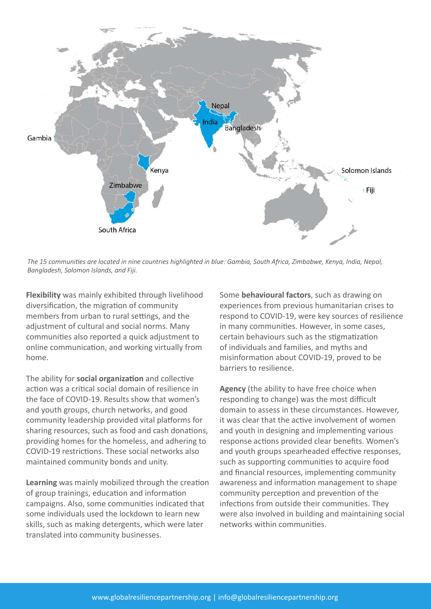

*The 15 communities are located in nine countries highlighted in blue: Gambia, South Africa, Zimbabwe, Kenya, India, Nepal, Bangladesh, Solomon Islands, and Fiji.* 

**Flexibility** was mainly exhibited through livelihood diversification, the migration of community members from urban to rural settings, and the adjustment of cultural and social norms. Many communities also reported a quick adjustment to online communication, and working virtually from home.

The ability for **social organization** and collective action was a critical social domain of resilience in the face of COVID-19. Results show that women's and youth groups, church networks, and good community leadership provided vital platforms for sharing resources, such as food and cash donations, providing homes for the homeless, and adhering to COVID-19 restrictions. These social networks also maintained community bonds and unity.

**Learning** was mainly mobilized through the creation of group trainings, education and information campaigns. Also, some communities indicated that some individuals used the lockdown to learn new skills, such as making detergents, which were later translated into community businesses.

Some **behavioural factors**, such as drawing on experiences from previous humanitarian crises to respond to COVID-19, were key sources of resilience in many communities. However, in some cases, certain behaviours such as the stigmatization of individuals and families, and myths and misinformation about COVID-19, proved to be barriers to resilience.

**Agency** (the ability to have free choice when responding to change) was the most difficult domain to assess in these circumstances. However, it was clear that the active involvement of women and youth in designing and implementing various response actions provided clear benefits. Women's and youth groups spearheaded effective responses, such as supporting communities to acquire food and financial resources, implementing community awareness and information management to shape community perception and prevention of the infections from outside their communities. They were also involved in building and maintaining social networks within communities.